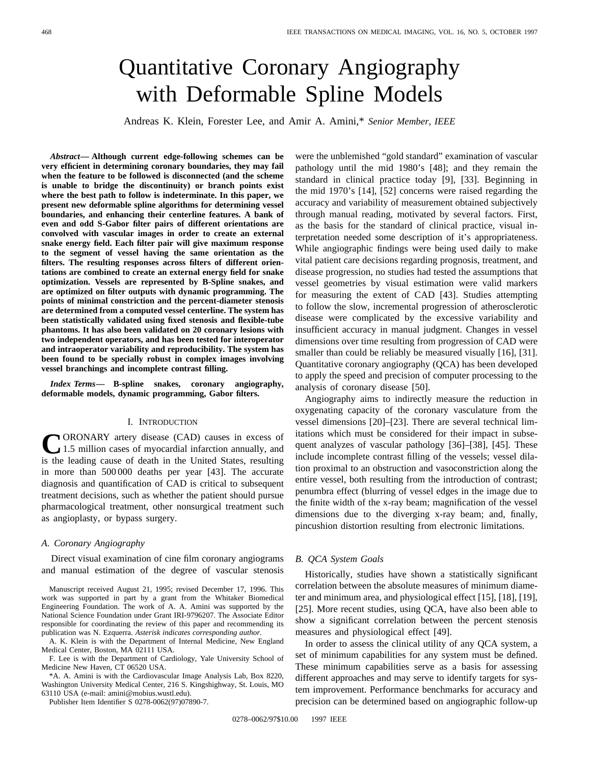# Quantitative Coronary Angiography with Deformable Spline Models

Andreas K. Klein, Forester Lee, and Amir A. Amini,\* *Senior Member, IEEE*

*Abstract—* **Although current edge-following schemes can be very efficient in determining coronary boundaries, they may fail when the feature to be followed is disconnected (and the scheme is unable to bridge the discontinuity) or branch points exist where the best path to follow is indeterminate. In this paper, we present new deformable spline algorithms for determining vessel boundaries, and enhancing their centerline features. A bank of even and odd S-Gabor filter pairs of different orientations are convolved with vascular images in order to create an external snake energy field. Each filter pair will give maximum response to the segment of vessel having the same orientation as the filters. The resulting responses across filters of different orientations are combined to create an external energy field for snake optimization. Vessels are represented by B-Spline snakes, and are optimized on filter outputs with dynamic programming. The points of minimal constriction and the percent-diameter stenosis are determined from a computed vessel centerline. The system has been statistically validated using fixed stenosis and flexible-tube phantoms. It has also been validated on 20 coronary lesions with two independent operators, and has been tested for interoperator and intraoperator variability and reproducibility. The system has been found to be specially robust in complex images involving vessel branchings and incomplete contrast filling.**

*Index Terms—* **B-spline snakes, coronary angiography, deformable models, dynamic programming, Gabor filters.**

#### I. INTRODUCTION

**CORONARY** artery disease (CAD) causes in excess of 1.5 million cases of myocardial infarction annually, and is the leading cause of death in the United States, resulting in more than 500 000 deaths per year [43]. The accurate diagnosis and quantification of CAD is critical to subsequent treatment decisions, such as whether the patient should pursue pharmacological treatment, other nonsurgical treatment such as angioplasty, or bypass surgery.

#### *A. Coronary Angiography*

Direct visual examination of cine film coronary angiograms and manual estimation of the degree of vascular stenosis

Manuscript received August 21, 1995; revised December 17, 1996. This work was supported in part by a grant from the Whitaker Biomedical Engineering Foundation. The work of A. A. Amini was supported by the National Science Foundation under Grant IRI-9796207. The Associate Editor responsible for coordinating the review of this paper and recommending its publication was N. Ezquerra. *Asterisk indicates corresponding author.*

A. K. Klein is with the Department of Internal Medicine, New England Medical Center, Boston, MA 02111 USA.

F. Lee is with the Department of Cardiology, Yale University School of Medicine New Haven, CT 06520 USA.

\*A. A. Amini is with the Cardiovascular Image Analysis Lab, Box 8220, Washington University Medical Center, 216 S. Kingshighway, St. Louis, MO 63110 USA (e-mail: amini@mobius.wustl.edu).

Publisher Item Identifier S 0278-0062(97)07890-7.

were the unblemished "gold standard" examination of vascular pathology until the mid 1980's [48]; and they remain the standard in clinical practice today [9], [33]. Beginning in the mid 1970's [14], [52] concerns were raised regarding the accuracy and variability of measurement obtained subjectively through manual reading, motivated by several factors. First, as the basis for the standard of clinical practice, visual interpretation needed some description of it's appropriateness. While angiographic findings were being used daily to make vital patient care decisions regarding prognosis, treatment, and disease progression, no studies had tested the assumptions that vessel geometries by visual estimation were valid markers for measuring the extent of CAD [43]. Studies attempting to follow the slow, incremental progression of atherosclerotic disease were complicated by the excessive variability and insufficient accuracy in manual judgment. Changes in vessel dimensions over time resulting from progression of CAD were smaller than could be reliably be measured visually [16], [31]. Quantitative coronary angiography (QCA) has been developed to apply the speed and precision of computer processing to the analysis of coronary disease [50].

Angiography aims to indirectly measure the reduction in oxygenating capacity of the coronary vasculature from the vessel dimensions [20]–[23]. There are several technical limitations which must be considered for their impact in subsequent analyzes of vascular pathology [36]–[38], [45]. These include incomplete contrast filling of the vessels; vessel dilation proximal to an obstruction and vasoconstriction along the entire vessel, both resulting from the introduction of contrast; penumbra effect (blurring of vessel edges in the image due to the finite width of the x-ray beam; magnification of the vessel dimensions due to the diverging x-ray beam; and, finally, pincushion distortion resulting from electronic limitations.

#### *B. QCA System Goals*

Historically, studies have shown a statistically significant correlation between the absolute measures of minimum diameter and minimum area, and physiological effect [15], [18], [19], [25]. More recent studies, using QCA, have also been able to show a significant correlation between the percent stenosis measures and physiological effect [49].

In order to assess the clinical utility of any QCA system, a set of minimum capabilities for any system must be defined. These minimum capabilities serve as a basis for assessing different approaches and may serve to identify targets for system improvement. Performance benchmarks for accuracy and precision can be determined based on angiographic follow-up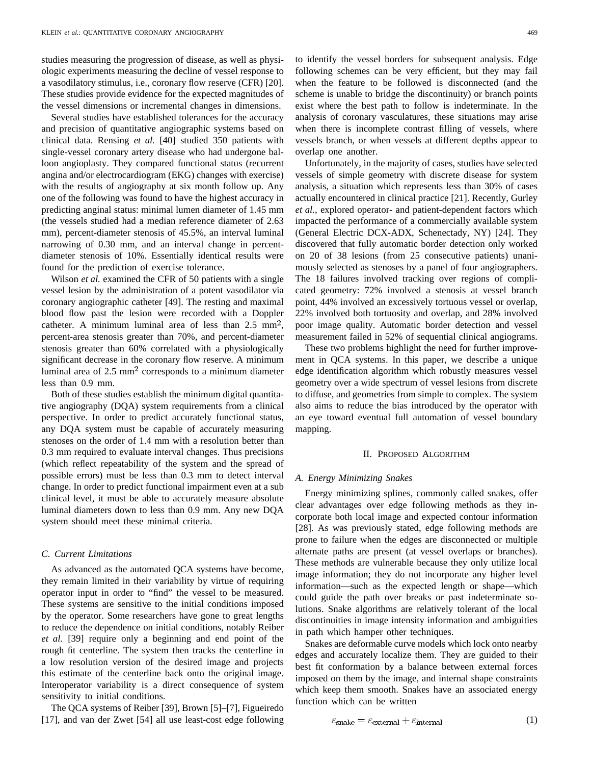studies measuring the progression of disease, as well as physiologic experiments measuring the decline of vessel response to a vasodilatory stimulus, i.e., coronary flow reserve (CFR) [20]. These studies provide evidence for the expected magnitudes of the vessel dimensions or incremental changes in dimensions.

Several studies have established tolerances for the accuracy and precision of quantitative angiographic systems based on clinical data. Rensing *et al.* [40] studied 350 patients with single-vessel coronary artery disease who had undergone balloon angioplasty. They compared functional status (recurrent angina and/or electrocardiogram (EKG) changes with exercise) with the results of angiography at six month follow up. Any one of the following was found to have the highest accuracy in predicting anginal status: minimal lumen diameter of 1.45 mm (the vessels studied had a median reference diameter of 2.63 mm), percent-diameter stenosis of 45.5%, an interval luminal narrowing of 0.30 mm, and an interval change in percentdiameter stenosis of 10%. Essentially identical results were found for the prediction of exercise tolerance.

Wilson *et al.* examined the CFR of 50 patients with a single vessel lesion by the administration of a potent vasodilator via coronary angiographic catheter [49]. The resting and maximal blood flow past the lesion were recorded with a Doppler catheter. A minimum luminal area of less than  $2.5 \text{ mm}^2$ , percent-area stenosis greater than 70%, and percent-diameter stenosis greater than 60% correlated with a physiologically significant decrease in the coronary flow reserve. A minimum luminal area of  $2.5 \text{ mm}^2$  corresponds to a minimum diameter less than 0.9 mm.

Both of these studies establish the minimum digital quantitative angiography (DQA) system requirements from a clinical perspective. In order to predict accurately functional status, any DQA system must be capable of accurately measuring stenoses on the order of 1.4 mm with a resolution better than 0.3 mm required to evaluate interval changes. Thus precisions (which reflect repeatability of the system and the spread of possible errors) must be less than 0.3 mm to detect interval change. In order to predict functional impairment even at a sub clinical level, it must be able to accurately measure absolute luminal diameters down to less than 0.9 mm. Any new DQA system should meet these minimal criteria.

#### *C. Current Limitations*

As advanced as the automated QCA systems have become, they remain limited in their variability by virtue of requiring operator input in order to "find" the vessel to be measured. These systems are sensitive to the initial conditions imposed by the operator. Some researchers have gone to great lengths to reduce the dependence on initial conditions, notably Reiber *et al.* [39] require only a beginning and end point of the rough fit centerline. The system then tracks the centerline in a low resolution version of the desired image and projects this estimate of the centerline back onto the original image. Interoperator variability is a direct consequence of system sensitivity to initial conditions.

The QCA systems of Reiber [39], Brown [5]–[7], Figueiredo [17], and van der Zwet [54] all use least-cost edge following to identify the vessel borders for subsequent analysis. Edge following schemes can be very efficient, but they may fail when the feature to be followed is disconnected (and the scheme is unable to bridge the discontinuity) or branch points exist where the best path to follow is indeterminate. In the analysis of coronary vasculatures, these situations may arise when there is incomplete contrast filling of vessels, where vessels branch, or when vessels at different depths appear to overlap one another.

Unfortunately, in the majority of cases, studies have selected vessels of simple geometry with discrete disease for system analysis, a situation which represents less than 30% of cases actually encountered in clinical practice [21]. Recently, Gurley *et al.,* explored operator- and patient-dependent factors which impacted the performance of a commercially available system (General Electric DCX-ADX, Schenectady, NY) [24]. They discovered that fully automatic border detection only worked on 20 of 38 lesions (from 25 consecutive patients) unanimously selected as stenoses by a panel of four angiographers. The 18 failures involved tracking over regions of complicated geometry: 72% involved a stenosis at vessel branch point, 44% involved an excessively tortuous vessel or overlap, 22% involved both tortuosity and overlap, and 28% involved poor image quality. Automatic border detection and vessel measurement failed in 52% of sequential clinical angiograms.

These two problems highlight the need for further improvement in QCA systems. In this paper, we describe a unique edge identification algorithm which robustly measures vessel geometry over a wide spectrum of vessel lesions from discrete to diffuse, and geometries from simple to complex. The system also aims to reduce the bias introduced by the operator with an eye toward eventual full automation of vessel boundary mapping.

#### II. PROPOSED ALGORITHM

### *A. Energy Minimizing Snakes*

Energy minimizing splines, commonly called snakes, offer clear advantages over edge following methods as they incorporate both local image and expected contour information [28]. As was previously stated, edge following methods are prone to failure when the edges are disconnected or multiple alternate paths are present (at vessel overlaps or branches). These methods are vulnerable because they only utilize local image information; they do not incorporate any higher level information—such as the expected length or shape—which could guide the path over breaks or past indeterminate solutions. Snake algorithms are relatively tolerant of the local discontinuities in image intensity information and ambiguities in path which hamper other techniques.

Snakes are deformable curve models which lock onto nearby edges and accurately localize them. They are guided to their best fit conformation by a balance between external forces imposed on them by the image, and internal shape constraints which keep them smooth. Snakes have an associated energy function which can be written

$$
\varepsilon_{\text{snake}} = \varepsilon_{\text{external}} + \varepsilon_{\text{internal}} \tag{1}
$$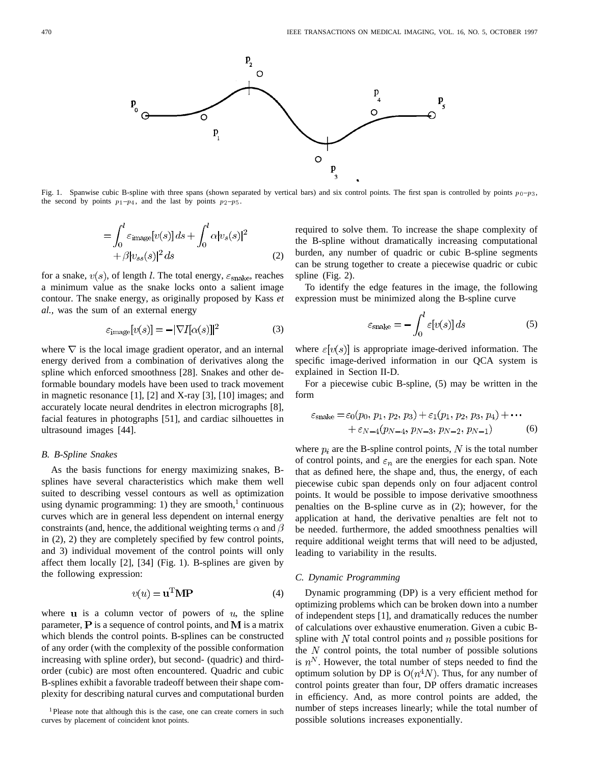

Fig. 1. Spanwise cubic B-spline with three spans (shown separated by vertical bars) and six control points. The first span is controlled by points  $p_0-p_3$ , the second by points  $p_1-p_4$ , and the last by points  $p_2-p_5$ .

$$
= \int_0^l \varepsilon_{\text{image}}[v(s)] ds + \int_0^l \alpha |v_s(s)|^2
$$
  
+  $\beta |v_{ss}(s)|^2 ds$  (2)

for a snake,  $v(s)$ , of length *l*. The total energy,  $\varepsilon_{\text{snake}}$ , reaches a minimum value as the snake locks onto a salient image contour. The snake energy, as originally proposed by Kass *et al.,* was the sum of an external energy

$$
\varepsilon_{\text{image}}[v(s)] = -|\nabla I[\alpha(s)]|^2 \tag{3}
$$

where  $\nabla$  is the local image gradient operator, and an internal energy derived from a combination of derivatives along the spline which enforced smoothness [28]. Snakes and other deformable boundary models have been used to track movement in magnetic resonance [1], [2] and X-ray [3], [10] images; and accurately locate neural dendrites in electron micrographs [8], facial features in photographs [51], and cardiac silhouettes in ultrasound images [44].

#### *B. B-Spline Snakes*

As the basis functions for energy maximizing snakes, Bsplines have several characteristics which make them well suited to describing vessel contours as well as optimization using dynamic programming: 1) they are smooth, $1$  continuous curves which are in general less dependent on internal energy constraints (and, hence, the additional weighting terms  $\alpha$  and  $\beta$ in (2), 2) they are completely specified by few control points, and 3) individual movement of the control points will only affect them locally [2], [34] (Fig. 1). B-splines are given by the following expression:

$$
v(u) = \mathbf{u}^{\mathrm{T}} \mathbf{M} \mathbf{P} \tag{4}
$$

where  $\bf{u}$  is a column vector of powers of  $u$ , the spline parameter,  $P$  is a sequence of control points, and  $M$  is a matrix which blends the control points. B-splines can be constructed of any order (with the complexity of the possible conformation increasing with spline order), but second- (quadric) and thirdorder (cubic) are most often encountered. Quadric and cubic B-splines exhibit a favorable tradeoff between their shape complexity for describing natural curves and computational burden

required to solve them. To increase the shape complexity of the B-spline without dramatically increasing computational burden, any number of quadric or cubic B-spline segments can be strung together to create a piecewise quadric or cubic spline (Fig. 2).

To identify the edge features in the image, the following expression must be minimized along the B-spline curve

$$
\varepsilon_{\text{snake}} = -\int_0^l \varepsilon[v(s)] \, ds \tag{5}
$$

where  $\varepsilon[v(s)]$  is appropriate image-derived information. The specific image-derived information in our QCA system is explained in Section II-D.

For a piecewise cubic B-spline, (5) may be written in the form

$$
\varepsilon_{\text{snake}} = \varepsilon_0(p_0, p_1, p_2, p_3) + \varepsilon_1(p_1, p_2, p_3, p_4) + \cdots + \varepsilon_{N-4}(p_{N-4}, p_{N-3}, p_{N-2}, p_{N-1})
$$
(6)

where  $p_i$  are the B-spline control points, N is the total number of control points, and  $\varepsilon_n$  are the energies for each span. Note that as defined here, the shape and, thus, the energy, of each piecewise cubic span depends only on four adjacent control points. It would be possible to impose derivative smoothness penalties on the B-spline curve as in (2); however, for the application at hand, the derivative penalties are felt not to be needed. furthermore, the added smoothness penalties will require additional weight terms that will need to be adjusted, leading to variability in the results.

#### *C. Dynamic Programming*

Dynamic programming (DP) is a very efficient method for optimizing problems which can be broken down into a number of independent steps [1], and dramatically reduces the number of calculations over exhaustive enumeration. Given a cubic Bspline with N total control points and  $n$  possible positions for the  $N$  control points, the total number of possible solutions is  $n^N$ . However, the total number of steps needed to find the optimum solution by DP is  $O(n^4N)$ . Thus, for any number of control points greater than four, DP offers dramatic increases in efficiency. And, as more control points are added, the number of steps increases linearly; while the total number of possible solutions increases exponentially.

 $<sup>1</sup>$  Please note that although this is the case, one can create corners in such</sup> curves by placement of coincident knot points.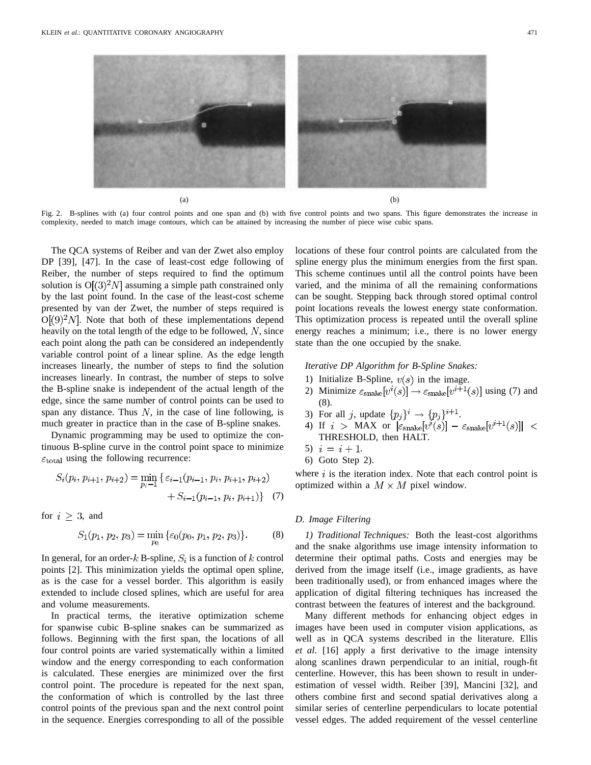

Fig. 2. B-splines with (a) four control points and one span and (b) with five control points and two spans. This figure demonstrates the increase in complexity, needed to match image contours, which can be attained by increasing the number of piece wise cubic spans.

The QCA systems of Reiber and van der Zwet also employ DP [39], [47]. In the case of least-cost edge following of Reiber, the number of steps required to find the optimum solution is  $O[(3)^2N]$  assuming a simple path constrained only by the last point found. In the case of the least-cost scheme presented by van der Zwet, the number of steps required is  $O(9)^2N$ . Note that both of these implementations depend heavily on the total length of the edge to be followed,  $N$ , since each point along the path can be considered an independently variable control point of a linear spline. As the edge length increases linearly, the number of steps to find the solution increases linearly. In contrast, the number of steps to solve the B-spline snake is independent of the actual length of the edge, since the same number of control points can be used to span any distance. Thus  $N$ , in the case of line following, is much greater in practice than in the case of B-spline snakes.

Dynamic programming may be used to optimize the continuous B-spline curve in the control point space to minimize  $\varepsilon_{\text{total}}$  using the following recurrence:

$$
S_i(p_i, p_{i+1}, p_{i+2}) = \min_{p_i=1} \{ \varepsilon_{i-1}(p_{i-1}, p_i, p_{i+1}, p_{i+2}) + S_{i-1}(p_{i-1}, p_i, p_{i+1}) \} \tag{7}
$$

for  $i \geq 3$ , and

$$
S_1(p_1, p_2, p_3) = \min_{p_0} \{\varepsilon_0(p_0, p_1, p_2, p_3)\}.
$$
 (8)

In general, for an order- $k$  B-spline,  $S_i$  is a function of  $k$  control points [2]. This minimization yields the optimal open spline, as is the case for a vessel border. This algorithm is easily extended to include closed splines, which are useful for area and volume measurements.

In practical terms, the iterative optimization scheme for spanwise cubic B-spline snakes can be summarized as follows. Beginning with the first span, the locations of all four control points are varied systematically within a limited window and the energy corresponding to each conformation is calculated. These energies are minimized over the first control point. The procedure is repeated for the next span, the conformation of which is controlled by the last three control points of the previous span and the next control point in the sequence. Energies corresponding to all of the possible locations of these four control points are calculated from the spline energy plus the minimum energies from the first span. This scheme continues until all the control points have been varied, and the minima of all the remaining conformations can be sought. Stepping back through stored optimal control point locations reveals the lowest energy state conformation. This optimization process is repeated until the overall spline energy reaches a minimum; i.e., there is no lower energy state than the one occupied by the snake.

*Iterative DP Algorithm for B-Spline Snakes:*

- 1) Initialize B-Spline,  $v(s)$  in the image.
- 2) Minimize  $\varepsilon_{\text{snake}}[v^i(s)] \rightarrow \varepsilon_{\text{snake}}[v^{i+1}(s)]$  using (7) and (8).
- 3) For all j, update  $\{p_i\}^i \rightarrow \{p_i\}^{i+1}$ .
- 4) If  $i >$  MAX or THRESHOLD, then HALT.
- 5)  $i = i + 1$ .
- 6) Goto Step 2).

where  $i$  is the iteration index. Note that each control point is optimized within a  $M \times M$  pixel window.

# *D. Image Filtering*

*1) Traditional Techniques:* Both the least-cost algorithms and the snake algorithms use image intensity information to determine their optimal paths. Costs and energies may be derived from the image itself (i.e., image gradients, as have been traditionally used), or from enhanced images where the application of digital filtering techniques has increased the contrast between the features of interest and the background.

Many different methods for enhancing object edges in images have been used in computer vision applications, as well as in QCA systems described in the literature. Ellis *et al.* [16] apply a first derivative to the image intensity along scanlines drawn perpendicular to an initial, rough-fit centerline. However, this has been shown to result in underestimation of vessel width. Reiber [39], Mancini [32], and others combine first and second spatial derivatives along a similar series of centerline perpendiculars to locate potential vessel edges. The added requirement of the vessel centerline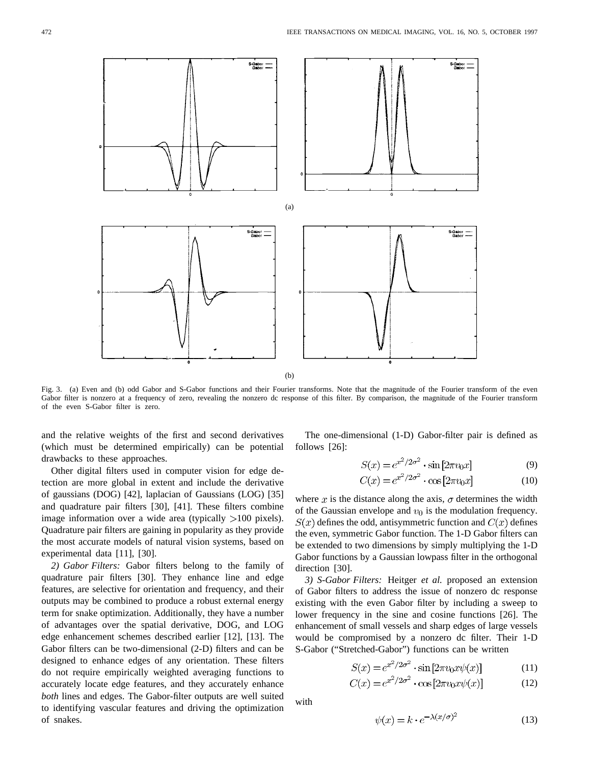

Fig. 3. (a) Even and (b) odd Gabor and S-Gabor functions and their Fourier transforms. Note that the magnitude of the Fourier transform of the even Gabor filter is nonzero at a frequency of zero, revealing the nonzero dc response of this filter. By comparison, the magnitude of the Fourier transform of the even S-Gabor filter is zero.

and the relative weights of the first and second derivatives (which must be determined empirically) can be potential drawbacks to these approaches.

Other digital filters used in computer vision for edge detection are more global in extent and include the derivative of gaussians (DOG) [42], laplacian of Gaussians (LOG) [35] and quadrature pair filters [30], [41]. These filters combine image information over a wide area (typically  $>100$  pixels). Quadrature pair filters are gaining in popularity as they provide the most accurate models of natural vision systems, based on experimental data [11], [30].

*2) Gabor Filters:* Gabor filters belong to the family of quadrature pair filters [30]. They enhance line and edge features, are selective for orientation and frequency, and their outputs may be combined to produce a robust external energy term for snake optimization. Additionally, they have a number of advantages over the spatial derivative, DOG, and LOG edge enhancement schemes described earlier [12], [13]. The Gabor filters can be two-dimensional (2-D) filters and can be designed to enhance edges of any orientation. These filters do not require empirically weighted averaging functions to accurately locate edge features, and they accurately enhance *both* lines and edges. The Gabor-filter outputs are well suited to identifying vascular features and driving the optimization of snakes.

The one-dimensional (1-D) Gabor-filter pair is defined as follows [26]:

$$
S(x) = e^{x^2/2\sigma^2} \cdot \sin\left[2\pi v_0 x\right] \tag{9}
$$

$$
C(x) = e^{x^2/2\sigma^2} \cdot \cos\left[2\pi v_0 x\right] \tag{10}
$$

where x is the distance along the axis,  $\sigma$  determines the width of the Gaussian envelope and  $v_0$  is the modulation frequency.  $S(x)$  defines the odd, antisymmetric function and  $C(x)$  defines the even, symmetric Gabor function. The 1-D Gabor filters can be extended to two dimensions by simply multiplying the 1-D Gabor functions by a Gaussian lowpass filter in the orthogonal direction [30].

*3) S-Gabor Filters:* Heitger *et al.* proposed an extension of Gabor filters to address the issue of nonzero dc response existing with the even Gabor filter by including a sweep to lower frequency in the sine and cosine functions [26]. The enhancement of small vessels and sharp edges of large vessels would be compromised by a nonzero dc filter. Their 1-D S-Gabor ("Stretched-Gabor") functions can be written

$$
S(x) = e^{x^2/2\sigma^2} \cdot \sin\left[2\pi v_0 x \psi(x)\right] \tag{11}
$$

$$
C(x) = e^{x^2/2\sigma^2} \cdot \cos\left[2\pi v_0 x \psi(x)\right] \tag{12}
$$

with

$$
\psi(x) = k \cdot e^{-\lambda(x/\sigma)^2} \tag{13}
$$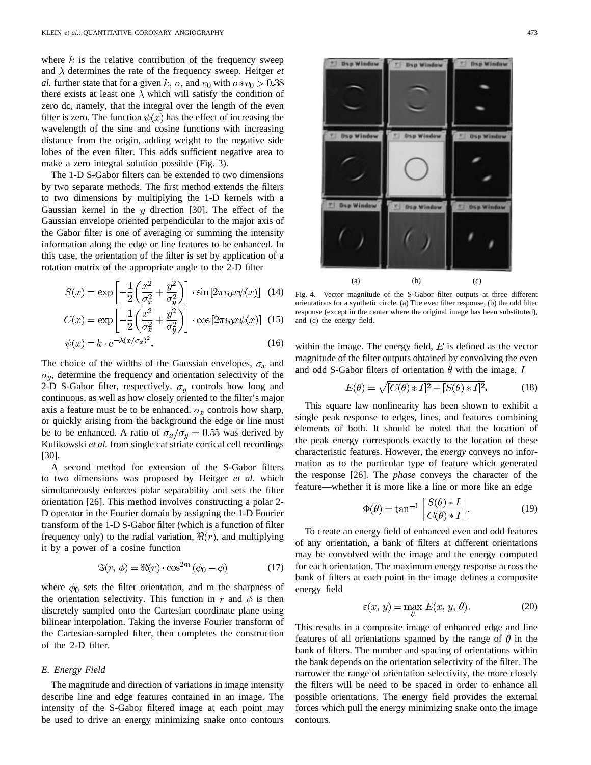where  $k$  is the relative contribution of the frequency sweep and  $\lambda$  determines the rate of the frequency sweep. Heitger *et al.* further state that for a given k,  $\sigma$ , and  $v_0$  with  $\sigma * v_0 > 0.38$ there exists at least one  $\lambda$  which will satisfy the condition of zero dc, namely, that the integral over the length of the even filter is zero. The function  $\psi(x)$  has the effect of increasing the wavelength of the sine and cosine functions with increasing distance from the origin, adding weight to the negative side lobes of the even filter. This adds sufficient negative area to make a zero integral solution possible (Fig. 3).

The 1-D S-Gabor filters can be extended to two dimensions by two separate methods. The first method extends the filters to two dimensions by multiplying the 1-D kernels with a Gaussian kernel in the  $y$  direction [30]. The effect of the Gaussian envelope oriented perpendicular to the major axis of the Gabor filter is one of averaging or summing the intensity information along the edge or line features to be enhanced. In this case, the orientation of the filter is set by application of a rotation matrix of the appropriate angle to the 2-D filter

$$
S(x) = \exp\left[-\frac{1}{2}\left(\frac{x^2}{\sigma_x^2} + \frac{y^2}{\sigma_y^2}\right)\right] \cdot \sin\left[2\pi v_0 x \psi(x)\right] \tag{14}
$$

$$
C(x) = \exp\left[-\frac{1}{2}\left(\frac{x^2}{\sigma_x^2} + \frac{y^2}{\sigma_y^2}\right)\right] \cdot \cos\left[2\pi v_0 x \psi(x)\right] \tag{15}
$$
  

$$
\psi(x) = k \cdot e^{-\lambda(x/\sigma_x)^2} \tag{16}
$$

$$
\psi(x) = k \cdot e^{-\lambda (x/\sigma_x)^2}.
$$
\n(16)

The choice of the widths of the Gaussian envelopes,  $\sigma_x$  and  $\sigma_y$ , determine the frequency and orientation selectivity of the 2-D S-Gabor filter, respectively.  $\sigma_y$  controls how long and continuous, as well as how closely oriented to the filter's major axis a feature must be to be enhanced.  $\sigma_x$  controls how sharp, or quickly arising from the background the edge or line must be to be enhanced. A ratio of  $\sigma_x/\sigma_y = 0.55$  was derived by Kulikowski *et al.* from single cat striate cortical cell recordings [30].

A second method for extension of the S-Gabor filters to two dimensions was proposed by Heitger *et al.* which simultaneously enforces polar separability and sets the filter orientation [26]. This method involves constructing a polar 2- D operator in the Fourier domain by assigning the 1-D Fourier transform of the 1-D S-Gabor filter (which is a function of filter frequency only) to the radial variation,  $\Re(r)$ , and multiplying it by a power of a cosine function

$$
\mathfrak{S}(r,\,\phi) = \mathfrak{R}(r) \cdot \cos^{2m}(\phi_0 - \phi) \tag{17}
$$

where  $\phi_0$  sets the filter orientation, and m the sharpness of the orientation selectivity. This function in r and  $\phi$  is then discretely sampled onto the Cartesian coordinate plane using bilinear interpolation. Taking the inverse Fourier transform of the Cartesian-sampled filter, then completes the construction of the 2-D filter.

## *E. Energy Field*

The magnitude and direction of variations in image intensity describe line and edge features contained in an image. The intensity of the S-Gabor filtered image at each point may be used to drive an energy minimizing snake onto contours



Fig. 4. Vector magnitude of the S-Gabor filter outputs at three different orientations for a synthetic circle. (a) The even filter response, (b) the odd filter response (except in the center where the original image has been substituted), and (c) the energy field.

within the image. The energy field,  $E$  is defined as the vector magnitude of the filter outputs obtained by convolving the even and odd S-Gabor filters of orientation  $\theta$  with the image, I

$$
E(\theta) = \sqrt{[C(\theta) * I]^2 + [S(\theta) * I]^2}.
$$
 (18)

This square law nonlinearity has been shown to exhibit a single peak response to edges, lines, and features combining elements of both. It should be noted that the location of the peak energy corresponds exactly to the location of these characteristic features. However, the *energy* conveys no information as to the particular type of feature which generated the response [26]. The *phase* conveys the character of the feature—whether it is more like a line or more like an edge

$$
\Phi(\theta) = \tan^{-1} \left[ \frac{S(\theta) * I}{C(\theta) * I} \right].
$$
\n(19)

To create an energy field of enhanced even and odd features of any orientation, a bank of filters at different orientations may be convolved with the image and the energy computed for each orientation. The maximum energy response across the bank of filters at each point in the image defines a composite energy field

$$
\varepsilon(x, y) = \max_{\beta} E(x, y, \theta). \tag{20}
$$

This results in a composite image of enhanced edge and line features of all orientations spanned by the range of  $\theta$  in the bank of filters. The number and spacing of orientations within the bank depends on the orientation selectivity of the filter. The narrower the range of orientation selectivity, the more closely the filters will be need to be spaced in order to enhance all possible orientations. The energy field provides the external forces which pull the energy minimizing snake onto the image contours.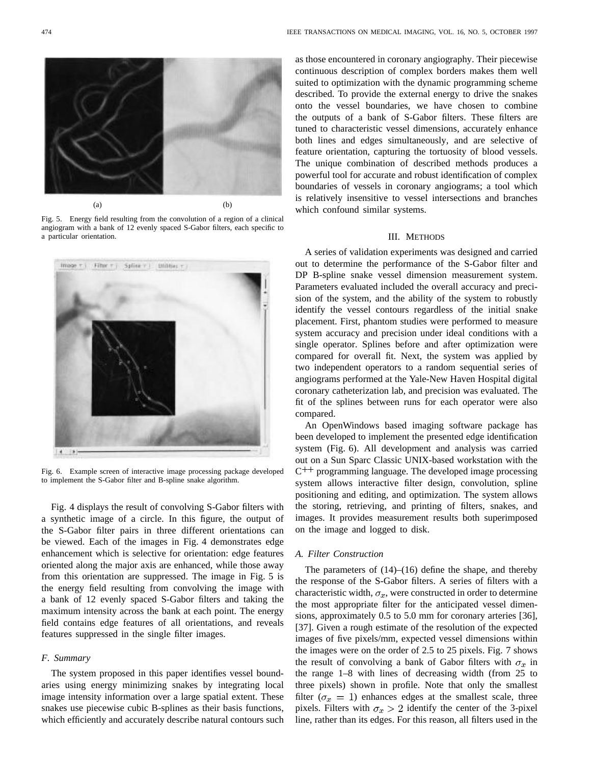

Fig. 5. Energy field resulting from the convolution of a region of a clinical angiogram with a bank of 12 evenly spaced S-Gabor filters, each specific to a particular orientation.



Fig. 6. Example screen of interactive image processing package developed to implement the S-Gabor filter and B-spline snake algorithm.

Fig. 4 displays the result of convolving S-Gabor filters with a synthetic image of a circle. In this figure, the output of the S-Gabor filter pairs in three different orientations can be viewed. Each of the images in Fig. 4 demonstrates edge enhancement which is selective for orientation: edge features oriented along the major axis are enhanced, while those away from this orientation are suppressed. The image in Fig. 5 is the energy field resulting from convolving the image with a bank of 12 evenly spaced S-Gabor filters and taking the maximum intensity across the bank at each point. The energy field contains edge features of all orientations, and reveals features suppressed in the single filter images.

## *F. Summary*

The system proposed in this paper identifies vessel boundaries using energy minimizing snakes by integrating local image intensity information over a large spatial extent. These snakes use piecewise cubic B-splines as their basis functions, which efficiently and accurately describe natural contours such as those encountered in coronary angiography. Their piecewise continuous description of complex borders makes them well suited to optimization with the dynamic programming scheme described. To provide the external energy to drive the snakes onto the vessel boundaries, we have chosen to combine the outputs of a bank of S-Gabor filters. These filters are tuned to characteristic vessel dimensions, accurately enhance both lines and edges simultaneously, and are selective of feature orientation, capturing the tortuosity of blood vessels. The unique combination of described methods produces a powerful tool for accurate and robust identification of complex boundaries of vessels in coronary angiograms; a tool which is relatively insensitive to vessel intersections and branches which confound similar systems.

#### III. METHODS

A series of validation experiments was designed and carried out to determine the performance of the S-Gabor filter and DP B-spline snake vessel dimension measurement system. Parameters evaluated included the overall accuracy and precision of the system, and the ability of the system to robustly identify the vessel contours regardless of the initial snake placement. First, phantom studies were performed to measure system accuracy and precision under ideal conditions with a single operator. Splines before and after optimization were compared for overall fit. Next, the system was applied by two independent operators to a random sequential series of angiograms performed at the Yale-New Haven Hospital digital coronary catheterization lab, and precision was evaluated. The fit of the splines between runs for each operator were also compared.

An OpenWindows based imaging software package has been developed to implement the presented edge identification system (Fig. 6). All development and analysis was carried out on a Sun Sparc Classic UNIX-based workstation with the  $C^{++}$  programming language. The developed image processing system allows interactive filter design, convolution, spline positioning and editing, and optimization. The system allows the storing, retrieving, and printing of filters, snakes, and images. It provides measurement results both superimposed on the image and logged to disk.

#### *A. Filter Construction*

The parameters of  $(14)$ – $(16)$  define the shape, and thereby the response of the S-Gabor filters. A series of filters with a characteristic width,  $\sigma_x$ , were constructed in order to determine the most appropriate filter for the anticipated vessel dimensions, approximately 0.5 to 5.0 mm for coronary arteries [36], [37]. Given a rough estimate of the resolution of the expected images of five pixels/mm, expected vessel dimensions within the images were on the order of 2.5 to 25 pixels. Fig. 7 shows the result of convolving a bank of Gabor filters with  $\sigma_x$  in the range 1–8 with lines of decreasing width (from 25 to three pixels) shown in profile. Note that only the smallest filter ( $\sigma_x = 1$ ) enhances edges at the smallest scale, three pixels. Filters with  $\sigma_x > 2$  identify the center of the 3-pixel line, rather than its edges. For this reason, all filters used in the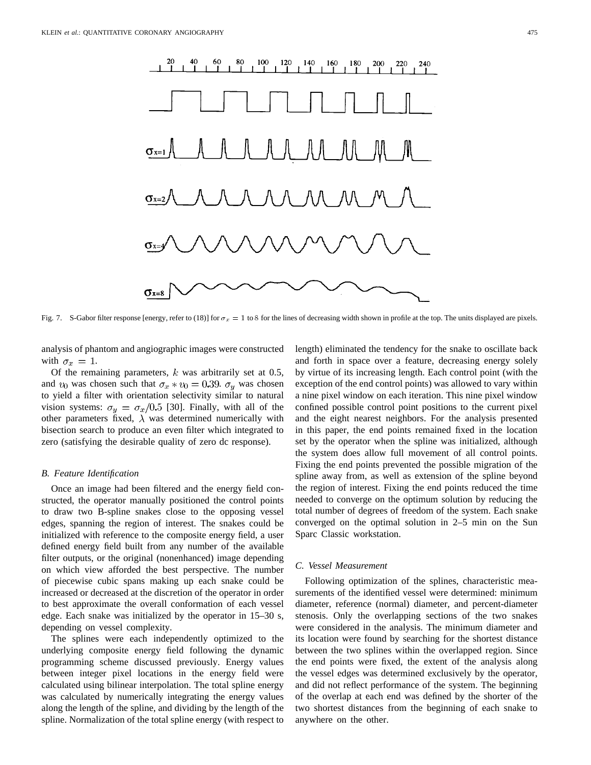

Fig. 7. S-Gabor filter response [energy, refer to (18)] for  $\sigma_x = 1$  to 8 for the lines of decreasing width shown in profile at the top. The units displayed are pixels.

analysis of phantom and angiographic images were constructed with  $\sigma_x = 1$ .

Of the remaining parameters,  $k$  was arbitrarily set at 0.5, and  $v_0$  was chosen such that  $\sigma_x * v_0 = 0.39$ .  $\sigma_y$  was chosen to yield a filter with orientation selectivity similar to natural vision systems:  $\sigma_y = \sigma_x/0.5$  [30]. Finally, with all of the other parameters fixed,  $\lambda$  was determined numerically with bisection search to produce an even filter which integrated to zero (satisfying the desirable quality of zero dc response).

#### *B. Feature Identification*

Once an image had been filtered and the energy field constructed, the operator manually positioned the control points to draw two B-spline snakes close to the opposing vessel edges, spanning the region of interest. The snakes could be initialized with reference to the composite energy field, a user defined energy field built from any number of the available filter outputs, or the original (nonenhanced) image depending on which view afforded the best perspective. The number of piecewise cubic spans making up each snake could be increased or decreased at the discretion of the operator in order to best approximate the overall conformation of each vessel edge. Each snake was initialized by the operator in 15–30 s, depending on vessel complexity.

The splines were each independently optimized to the underlying composite energy field following the dynamic programming scheme discussed previously. Energy values between integer pixel locations in the energy field were calculated using bilinear interpolation. The total spline energy was calculated by numerically integrating the energy values along the length of the spline, and dividing by the length of the spline. Normalization of the total spline energy (with respect to length) eliminated the tendency for the snake to oscillate back and forth in space over a feature, decreasing energy solely by virtue of its increasing length. Each control point (with the exception of the end control points) was allowed to vary within a nine pixel window on each iteration. This nine pixel window confined possible control point positions to the current pixel and the eight nearest neighbors. For the analysis presented in this paper, the end points remained fixed in the location set by the operator when the spline was initialized, although the system does allow full movement of all control points. Fixing the end points prevented the possible migration of the spline away from, as well as extension of the spline beyond the region of interest. Fixing the end points reduced the time needed to converge on the optimum solution by reducing the total number of degrees of freedom of the system. Each snake converged on the optimal solution in 2–5 min on the Sun Sparc Classic workstation.

## *C. Vessel Measurement*

Following optimization of the splines, characteristic measurements of the identified vessel were determined: minimum diameter, reference (normal) diameter, and percent-diameter stenosis. Only the overlapping sections of the two snakes were considered in the analysis. The minimum diameter and its location were found by searching for the shortest distance between the two splines within the overlapped region. Since the end points were fixed, the extent of the analysis along the vessel edges was determined exclusively by the operator, and did not reflect performance of the system. The beginning of the overlap at each end was defined by the shorter of the two shortest distances from the beginning of each snake to anywhere on the other.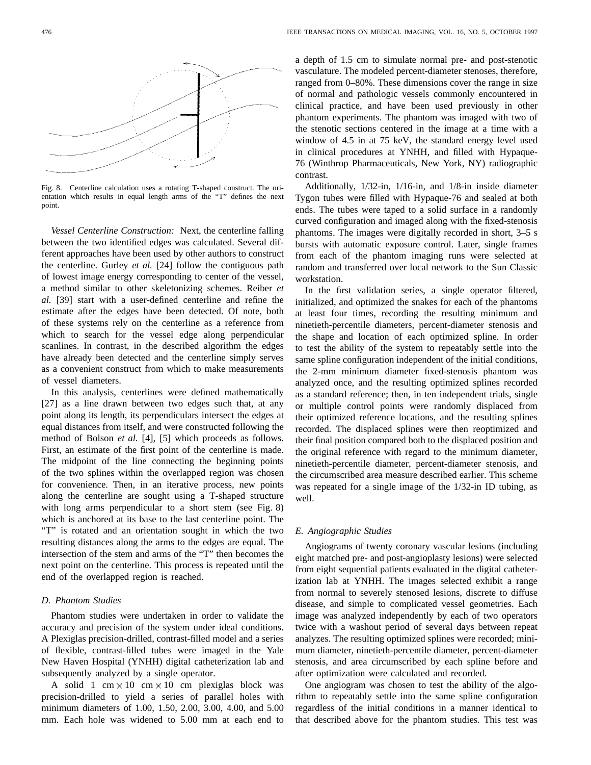

Fig. 8. Centerline calculation uses a rotating T-shaped construct. The orientation which results in equal length arms of the "T" defines the next point.

*Vessel Centerline Construction:* Next, the centerline falling between the two identified edges was calculated. Several different approaches have been used by other authors to construct the centerline. Gurley *et al.* [24] follow the contiguous path of lowest image energy corresponding to center of the vessel, a method similar to other skeletonizing schemes. Reiber *et al.* [39] start with a user-defined centerline and refine the estimate after the edges have been detected. Of note, both of these systems rely on the centerline as a reference from which to search for the vessel edge along perpendicular scanlines. In contrast, in the described algorithm the edges have already been detected and the centerline simply serves as a convenient construct from which to make measurements of vessel diameters.

In this analysis, centerlines were defined mathematically [27] as a line drawn between two edges such that, at any point along its length, its perpendiculars intersect the edges at equal distances from itself, and were constructed following the method of Bolson *et al.* [4], [5] which proceeds as follows. First, an estimate of the first point of the centerline is made. The midpoint of the line connecting the beginning points of the two splines within the overlapped region was chosen for convenience. Then, in an iterative process, new points along the centerline are sought using a T-shaped structure with long arms perpendicular to a short stem (see Fig. 8) which is anchored at its base to the last centerline point. The "T" is rotated and an orientation sought in which the two resulting distances along the arms to the edges are equal. The intersection of the stem and arms of the "T" then becomes the next point on the centerline. This process is repeated until the end of the overlapped region is reached.

# *D. Phantom Studies*

Phantom studies were undertaken in order to validate the accuracy and precision of the system under ideal conditions. A Plexiglas precision-drilled, contrast-filled model and a series of flexible, contrast-filled tubes were imaged in the Yale New Haven Hospital (YNHH) digital catheterization lab and subsequently analyzed by a single operator.

A solid 1 cm  $\times$  10 cm  $\times$  10 cm plexiglas block was precision-drilled to yield a series of parallel holes with minimum diameters of 1.00, 1.50, 2.00, 3.00, 4.00, and 5.00 mm. Each hole was widened to 5.00 mm at each end to a depth of 1.5 cm to simulate normal pre- and post-stenotic vasculature. The modeled percent-diameter stenoses, therefore, ranged from 0–80%. These dimensions cover the range in size of normal and pathologic vessels commonly encountered in clinical practice, and have been used previously in other phantom experiments. The phantom was imaged with two of the stenotic sections centered in the image at a time with a window of 4.5 in at 75 keV, the standard energy level used in clinical procedures at YNHH, and filled with Hypaque-76 (Winthrop Pharmaceuticals, New York, NY) radiographic contrast.

Additionally, 1/32-in, 1/16-in, and 1/8-in inside diameter Tygon tubes were filled with Hypaque-76 and sealed at both ends. The tubes were taped to a solid surface in a randomly curved configuration and imaged along with the fixed-stenosis phantoms. The images were digitally recorded in short, 3–5 s bursts with automatic exposure control. Later, single frames from each of the phantom imaging runs were selected at random and transferred over local network to the Sun Classic workstation.

In the first validation series, a single operator filtered, initialized, and optimized the snakes for each of the phantoms at least four times, recording the resulting minimum and ninetieth-percentile diameters, percent-diameter stenosis and the shape and location of each optimized spline. In order to test the ability of the system to repeatably settle into the same spline configuration independent of the initial conditions, the 2-mm minimum diameter fixed-stenosis phantom was analyzed once, and the resulting optimized splines recorded as a standard reference; then, in ten independent trials, single or multiple control points were randomly displaced from their optimized reference locations, and the resulting splines recorded. The displaced splines were then reoptimized and their final position compared both to the displaced position and the original reference with regard to the minimum diameter, ninetieth-percentile diameter, percent-diameter stenosis, and the circumscribed area measure described earlier. This scheme was repeated for a single image of the 1/32-in ID tubing, as well.

## *E. Angiographic Studies*

Angiograms of twenty coronary vascular lesions (including eight matched pre- and post-angioplasty lesions) were selected from eight sequential patients evaluated in the digital catheterization lab at YNHH. The images selected exhibit a range from normal to severely stenosed lesions, discrete to diffuse disease, and simple to complicated vessel geometries. Each image was analyzed independently by each of two operators twice with a washout period of several days between repeat analyzes. The resulting optimized splines were recorded; minimum diameter, ninetieth-percentile diameter, percent-diameter stenosis, and area circumscribed by each spline before and after optimization were calculated and recorded.

One angiogram was chosen to test the ability of the algorithm to repeatably settle into the same spline configuration regardless of the initial conditions in a manner identical to that described above for the phantom studies. This test was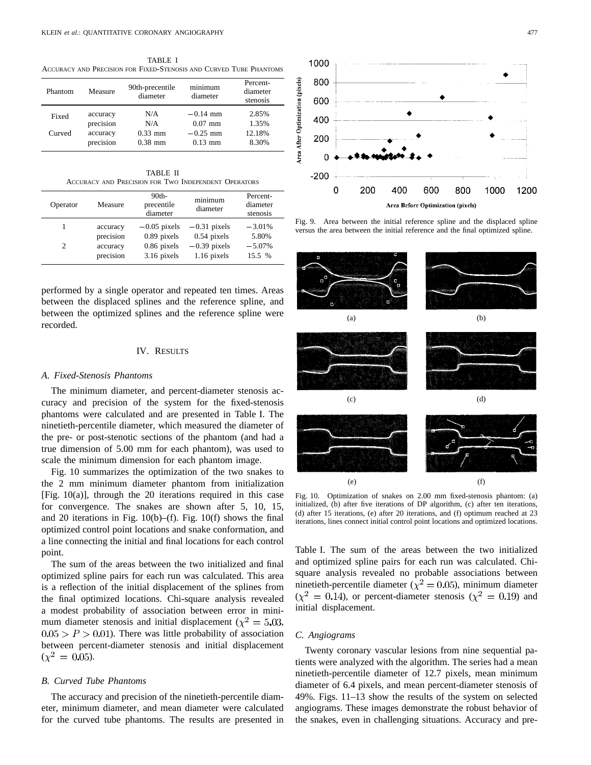TABLE I ACCURACY AND PRECISION FOR FIXED-STENOSIS AND CURVED TUBE PHANTOMS

| Phantom | Measure               | 90th-precentile<br>diameter | minimum<br>diameter     | Percent-<br>diameter<br>stenosis |
|---------|-----------------------|-----------------------------|-------------------------|----------------------------------|
| Fixed   | accuracy              | N/A<br>N/A                  | $-0.14$ mm<br>$0.07$ mm | 2.85%<br>1.35%                   |
| Curved  | precision<br>accuracy | $0.33$ mm                   | $-0.25$ mm              | 12.18%                           |
|         | precision             | $0.38$ mm                   | $0.13$ mm               | 8.30%                            |

TABLE II ACCURACY AND PRECISION FOR TWO INDEPENDENT OPERATORS

| Operator | Measure   | 90 <sub>th</sub><br>precentile<br>diameter | minimum<br>diameter | Percent-<br>diameter<br>stenosis |
|----------|-----------|--------------------------------------------|---------------------|----------------------------------|
|          | accuracy  | $-0.05$ pixels                             | $-0.31$ pixels      | $-3.01%$                         |
|          | precision | $0.89$ pixels                              | $0.54$ pixels       | 5.80%                            |
| 2        | accuracy  | $0.86$ pixels                              | $-0.39$ pixels      | $-5.07%$                         |
|          | precision | 3.16 pixels                                | $1.16$ pixels       | 15.5 %                           |

performed by a single operator and repeated ten times. Areas between the displaced splines and the reference spline, and between the optimized splines and the reference spline were recorded.

## IV. RESULTS

#### *A. Fixed-Stenosis Phantoms*

The minimum diameter, and percent-diameter stenosis accuracy and precision of the system for the fixed-stenosis phantoms were calculated and are presented in Table I. The ninetieth-percentile diameter, which measured the diameter of the pre- or post-stenotic sections of the phantom (and had a true dimension of 5.00 mm for each phantom), was used to scale the minimum dimension for each phantom image.

Fig. 10 summarizes the optimization of the two snakes to the 2 mm minimum diameter phantom from initialization [Fig. 10(a)], through the 20 iterations required in this case for convergence. The snakes are shown after 5, 10, 15, and 20 iterations in Fig. 10(b)–(f). Fig. 10(f) shows the final optimized control point locations and snake conformation, and a line connecting the initial and final locations for each control point.

The sum of the areas between the two initialized and final optimized spline pairs for each run was calculated. This area is a reflection of the initial displacement of the splines from the final optimized locations. Chi-square analysis revealed a modest probability of association between error in minimum diameter stenosis and initial displacement ( $\chi^2 = 5.03$ ,  $0.05 > P > 0.01$ ). There was little probability of association between percent-diameter stenosis and initial displacement  $(\chi^2 = 0.05)$ .

#### *B. Curved Tube Phantoms*

The accuracy and precision of the ninetieth-percentile diameter, minimum diameter, and mean diameter were calculated for the curved tube phantoms. The results are presented in



Fig. 9. Area between the initial reference spline and the displaced spline versus the area between the initial reference and the final optimized spline.



Fig. 10. Optimization of snakes on 2.00 mm fixed-stenosis phantom: (a) initialized, (b) after five iterations of DP algorithm, (c) after ten iterations, (d) after 15 iterations, (e) after 20 iterations, and (f) optimum reached at 23 iterations, lines connect initial control point locations and optimized locations.

Table I. The sum of the areas between the two initialized and optimized spline pairs for each run was calculated. Chisquare analysis revealed no probable associations between ninetieth-percentile diameter ( $\chi^2 = 0.05$ ), minimum diameter  $(\chi^2 = 0.14)$ , or percent-diameter stenosis  $(\chi^2 = 0.19)$  and initial displacement.

## *C. Angiograms*

Twenty coronary vascular lesions from nine sequential patients were analyzed with the algorithm. The series had a mean ninetieth-percentile diameter of 12.7 pixels, mean minimum diameter of 6.4 pixels, and mean percent-diameter stenosis of 49%. Figs. 11–13 show the results of the system on selected angiograms. These images demonstrate the robust behavior of the snakes, even in challenging situations. Accuracy and pre-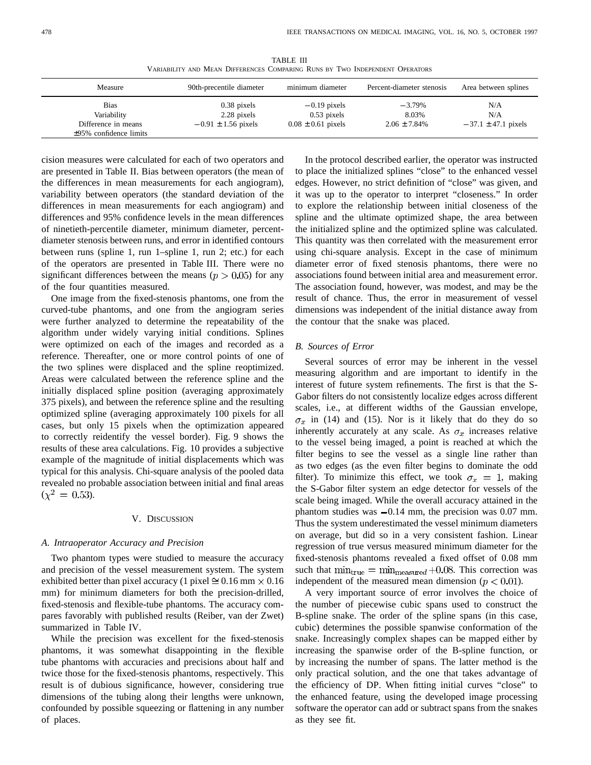TABLE III VARIABILITY AND MEAN DIFFERENCES COMPARING RUNS BY TWO INDEPENDENT OPERATORS

| Measure                                          | 90th-precentile diameter | minimum diameter       | Percent-diameter stenosis | Area between splines    |
|--------------------------------------------------|--------------------------|------------------------|---------------------------|-------------------------|
| <b>Bias</b>                                      | $0.38$ pixels            | $-0.19$ pixels         | $-3.79%$                  | N/A                     |
| Variability                                      | 2.28 pixels              | $0.53$ pixels          | 8.03%                     | N/A                     |
| Difference in means<br>$±95\%$ confidence limits | $-0.91 \pm 1.56$ pixels  | $0.08 \pm 0.61$ pixels | $2.06 \pm 7.84\%$         | $-37.1 \pm 47.1$ pixels |

cision measures were calculated for each of two operators and are presented in Table II. Bias between operators (the mean of the differences in mean measurements for each angiogram), variability between operators (the standard deviation of the differences in mean measurements for each angiogram) and differences and 95% confidence levels in the mean differences of ninetieth-percentile diameter, minimum diameter, percentdiameter stenosis between runs, and error in identified contours between runs (spline 1, run 1–spline 1, run 2; etc.) for each of the operators are presented in Table III. There were no significant differences between the means ( $p > 0.05$ ) for any of the four quantities measured.

One image from the fixed-stenosis phantoms, one from the curved-tube phantoms, and one from the angiogram series were further analyzed to determine the repeatability of the algorithm under widely varying initial conditions. Splines were optimized on each of the images and recorded as a reference. Thereafter, one or more control points of one of the two splines were displaced and the spline reoptimized. Areas were calculated between the reference spline and the initially displaced spline position (averaging approximately 375 pixels), and between the reference spline and the resulting optimized spline (averaging approximately 100 pixels for all cases, but only 15 pixels when the optimization appeared to correctly reidentify the vessel border). Fig. 9 shows the results of these area calculations. Fig. 10 provides a subjective example of the magnitude of initial displacements which was typical for this analysis. Chi-square analysis of the pooled data revealed no probable association between initial and final areas  $(\chi^2 = 0.53)$ .

#### V. DISCUSSION

## *A. Intraoperator Accuracy and Precision*

Two phantom types were studied to measure the accuracy and precision of the vessel measurement system. The system exhibited better than pixel accuracy (1 pixel  $\approx 0.16$  mm  $\times 0.16$ mm) for minimum diameters for both the precision-drilled, fixed-stenosis and flexible-tube phantoms. The accuracy compares favorably with published results (Reiber, van der Zwet) summarized in Table IV.

While the precision was excellent for the fixed-stenosis phantoms, it was somewhat disappointing in the flexible tube phantoms with accuracies and precisions about half and twice those for the fixed-stenosis phantoms, respectively. This result is of dubious significance, however, considering true dimensions of the tubing along their lengths were unknown, confounded by possible squeezing or flattening in any number of places.

In the protocol described earlier, the operator was instructed to place the initialized splines "close" to the enhanced vessel edges. However, no strict definition of "close" was given, and it was up to the operator to interpret "closeness." In order to explore the relationship between initial closeness of the spline and the ultimate optimized shape, the area between the initialized spline and the optimized spline was calculated. This quantity was then correlated with the measurement error using chi-square analysis. Except in the case of minimum diameter error of fixed stenosis phantoms, there were no associations found between initial area and measurement error. The association found, however, was modest, and may be the result of chance. Thus, the error in measurement of vessel dimensions was independent of the initial distance away from the contour that the snake was placed.

#### *B. Sources of Error*

Several sources of error may be inherent in the vessel measuring algorithm and are important to identify in the interest of future system refinements. The first is that the S-Gabor filters do not consistently localize edges across different scales, i.e., at different widths of the Gaussian envelope,  $\sigma_x$  in (14) and (15). Nor is it likely that do they do so inherently accurately at any scale. As  $\sigma_x$  increases relative to the vessel being imaged, a point is reached at which the filter begins to see the vessel as a single line rather than as two edges (as the even filter begins to dominate the odd filter). To minimize this effect, we took  $\sigma_x = 1$ , making the S-Gabor filter system an edge detector for vessels of the scale being imaged. While the overall accuracy attained in the phantom studies was  $-0.14$  mm, the precision was 0.07 mm. Thus the system underestimated the vessel minimum diameters on average, but did so in a very consistent fashion. Linear regression of true versus measured minimum diameter for the fixed-stenosis phantoms revealed a fixed offset of 0.08 mm such that  $\min_{true} = \min_{measured} +0.08$ . This correction was independent of the measured mean dimension ( $p < 0.01$ ).

A very important source of error involves the choice of the number of piecewise cubic spans used to construct the B-spline snake. The order of the spline spans (in this case, cubic) determines the possible spanwise conformation of the snake. Increasingly complex shapes can be mapped either by increasing the spanwise order of the B-spline function, or by increasing the number of spans. The latter method is the only practical solution, and the one that takes advantage of the efficiency of DP. When fitting initial curves "close" to the enhanced feature, using the developed image processing software the operator can add or subtract spans from the snakes as they see fit.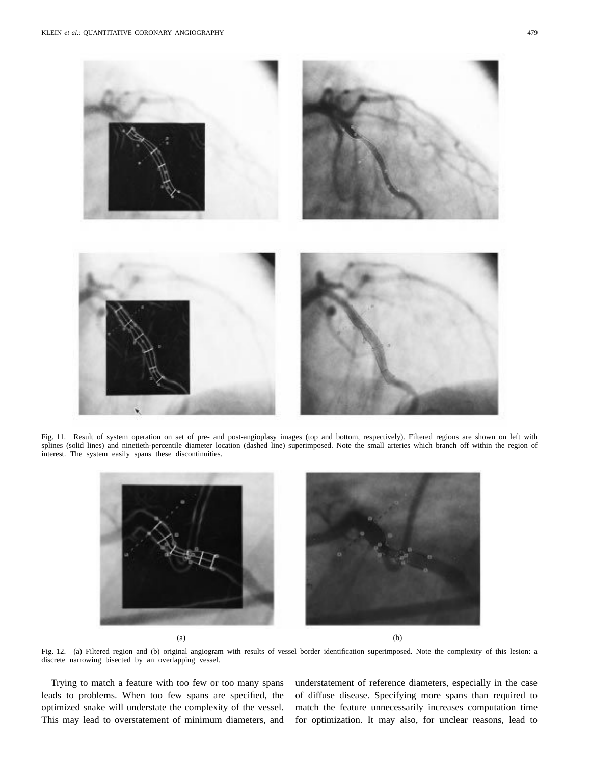

Fig. 11. Result of system operation on set of pre- and post-angioplasy images (top and bottom, respectively). Filtered regions are shown on left with splines (solid lines) and ninetieth-percentile diameter location (dashed line) superimposed. Note the small arteries which branch off within the region of interest. The system easily spans these discontinuities.



Fig. 12. (a) Filtered region and (b) original angiogram with results of vessel border identification superimposed. Note the complexity of this lesion: a discrete narrowing bisected by an overlapping vessel.

Trying to match a feature with too few or too many spans leads to problems. When too few spans are specified, the optimized snake will understate the complexity of the vessel. This may lead to overstatement of minimum diameters, and understatement of reference diameters, especially in the case of diffuse disease. Specifying more spans than required to match the feature unnecessarily increases computation time for optimization. It may also, for unclear reasons, lead to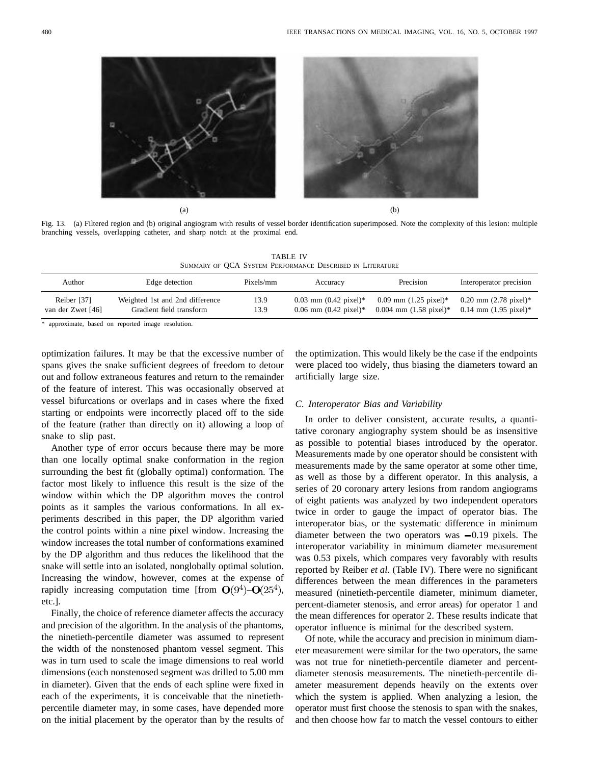

Fig. 13. (a) Filtered region and (b) original angiogram with results of vessel border identification superimposed. Note the complexity of this lesion: multiple branching vessels, overlapping catheter, and sharp notch at the proximal end.

| <b>TABLE IV</b> |  |  |                                                           |  |  |
|-----------------|--|--|-----------------------------------------------------------|--|--|
|                 |  |  | SUMMARY OF OCA SYSTEM PERFORMANCE DESCRIBED IN LITERATURE |  |  |

| Author            | Edge detection                  | Pixels/mm | Accuracy                         | Precision                  | Interoperator precision          |
|-------------------|---------------------------------|-----------|----------------------------------|----------------------------|----------------------------------|
| Reiber [37]       | Weighted 1st and 2nd difference | 13.9      | $0.03$ mm $(0.42$ pixel)*        | $0.09$ mm $(1.25$ pixel)*  | 0.20 mm $(2.78 \text{ pixel})^*$ |
| van der Zwet [46] | Gradient field transform        | 13.9      | 0.06 mm $(0.42 \text{ pixel})$ * | $0.004$ mm $(1.58$ pixel)* | $0.14$ mm $(1.95$ pixel)*        |

\* approximate, based on reported image resolution.

optimization failures. It may be that the excessive number of spans gives the snake sufficient degrees of freedom to detour out and follow extraneous features and return to the remainder of the feature of interest. This was occasionally observed at vessel bifurcations or overlaps and in cases where the fixed starting or endpoints were incorrectly placed off to the side of the feature (rather than directly on it) allowing a loop of snake to slip past.

Another type of error occurs because there may be more than one locally optimal snake conformation in the region surrounding the best fit (globally optimal) conformation. The factor most likely to influence this result is the size of the window within which the DP algorithm moves the control points as it samples the various conformations. In all experiments described in this paper, the DP algorithm varied the control points within a nine pixel window. Increasing the window increases the total number of conformations examined by the DP algorithm and thus reduces the likelihood that the snake will settle into an isolated, nonglobally optimal solution. Increasing the window, however, comes at the expense of rapidly increasing computation time [from  $O(9^4)$ – $O(25^4)$ , etc.].

Finally, the choice of reference diameter affects the accuracy and precision of the algorithm. In the analysis of the phantoms, the ninetieth-percentile diameter was assumed to represent the width of the nonstenosed phantom vessel segment. This was in turn used to scale the image dimensions to real world dimensions (each nonstenosed segment was drilled to 5.00 mm in diameter). Given that the ends of each spline were fixed in each of the experiments, it is conceivable that the ninetiethpercentile diameter may, in some cases, have depended more on the initial placement by the operator than by the results of the optimization. This would likely be the case if the endpoints were placed too widely, thus biasing the diameters toward an artificially large size.

## *C. Interoperator Bias and Variability*

In order to deliver consistent, accurate results, a quantitative coronary angiography system should be as insensitive as possible to potential biases introduced by the operator. Measurements made by one operator should be consistent with measurements made by the same operator at some other time, as well as those by a different operator. In this analysis, a series of 20 coronary artery lesions from random angiograms of eight patients was analyzed by two independent operators twice in order to gauge the impact of operator bias. The interoperator bias, or the systematic difference in minimum diameter between the two operators was  $-0.19$  pixels. The interoperator variability in minimum diameter measurement was 0.53 pixels, which compares very favorably with results reported by Reiber *et al.* (Table IV). There were no significant differences between the mean differences in the parameters measured (ninetieth-percentile diameter, minimum diameter, percent-diameter stenosis, and error areas) for operator 1 and the mean differences for operator 2. These results indicate that operator influence is minimal for the described system.

Of note, while the accuracy and precision in minimum diameter measurement were similar for the two operators, the same was not true for ninetieth-percentile diameter and percentdiameter stenosis measurements. The ninetieth-percentile diameter measurement depends heavily on the extents over which the system is applied. When analyzing a lesion, the operator must first choose the stenosis to span with the snakes, and then choose how far to match the vessel contours to either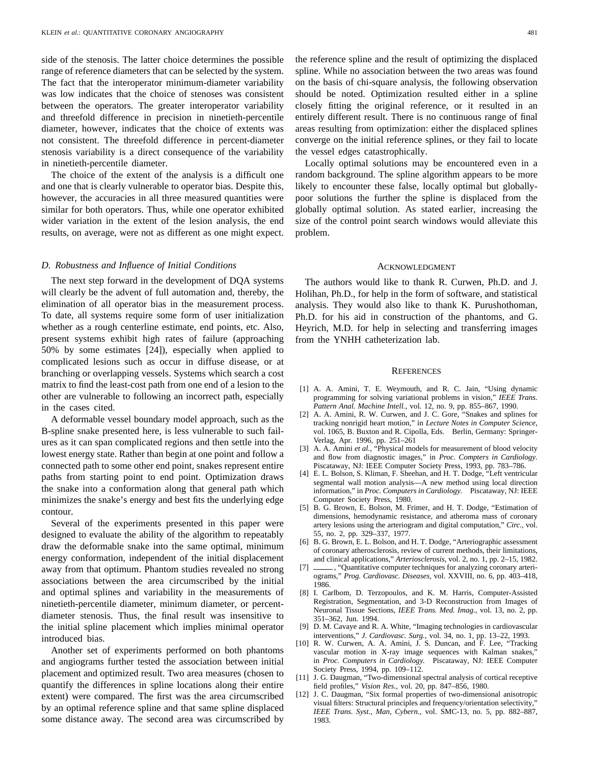side of the stenosis. The latter choice determines the possible range of reference diameters that can be selected by the system. The fact that the interoperator minimum-diameter variability was low indicates that the choice of stenoses was consistent between the operators. The greater interoperator variability and threefold difference in precision in ninetieth-percentile diameter, however, indicates that the choice of extents was not consistent. The threefold difference in percent-diameter stenosis variability is a direct consequence of the variability in ninetieth-percentile diameter.

The choice of the extent of the analysis is a difficult one and one that is clearly vulnerable to operator bias. Despite this, however, the accuracies in all three measured quantities were similar for both operators. Thus, while one operator exhibited wider variation in the extent of the lesion analysis, the end results, on average, were not as different as one might expect.

## *D. Robustness and Influence of Initial Conditions*

The next step forward in the development of DQA systems will clearly be the advent of full automation and, thereby, the elimination of all operator bias in the measurement process. To date, all systems require some form of user initialization whether as a rough centerline estimate, end points, etc. Also, present systems exhibit high rates of failure (approaching 50% by some estimates [24]), especially when applied to complicated lesions such as occur in diffuse disease, or at branching or overlapping vessels. Systems which search a cost matrix to find the least-cost path from one end of a lesion to the other are vulnerable to following an incorrect path, especially in the cases cited.

A deformable vessel boundary model approach, such as the B-spline snake presented here, is less vulnerable to such failures as it can span complicated regions and then settle into the lowest energy state. Rather than begin at one point and follow a connected path to some other end point, snakes represent entire paths from starting point to end point. Optimization draws the snake into a conformation along that general path which minimizes the snake's energy and best fits the underlying edge contour.

Several of the experiments presented in this paper were designed to evaluate the ability of the algorithm to repeatably draw the deformable snake into the same optimal, minimum energy conformation, independent of the initial displacement away from that optimum. Phantom studies revealed no strong associations between the area circumscribed by the initial and optimal splines and variability in the measurements of ninetieth-percentile diameter, minimum diameter, or percentdiameter stenosis. Thus, the final result was insensitive to the initial spline placement which implies minimal operator introduced bias.

Another set of experiments performed on both phantoms and angiograms further tested the association between initial placement and optimized result. Two area measures (chosen to quantify the differences in spline locations along their entire extent) were compared. The first was the area circumscribed by an optimal reference spline and that same spline displaced some distance away. The second area was circumscribed by the reference spline and the result of optimizing the displaced spline. While no association between the two areas was found on the basis of chi-square analysis, the following observation should be noted. Optimization resulted either in a spline closely fitting the original reference, or it resulted in an entirely different result. There is no continuous range of final areas resulting from optimization: either the displaced splines converge on the initial reference splines, or they fail to locate the vessel edges catastrophically.

Locally optimal solutions may be encountered even in a random background. The spline algorithm appears to be more likely to encounter these false, locally optimal but globallypoor solutions the further the spline is displaced from the globally optimal solution. As stated earlier, increasing the size of the control point search windows would alleviate this problem.

#### ACKNOWLEDGMENT

The authors would like to thank R. Curwen, Ph.D. and J. Holihan, Ph.D., for help in the form of software, and statistical analysis. They would also like to thank K. Purushothoman, Ph.D. for his aid in construction of the phantoms, and G. Heyrich, M.D. for help in selecting and transferring images from the YNHH catheterization lab.

#### **REFERENCES**

- [1] A. A. Amini, T. E. Weymouth, and R. C. Jain, "Using dynamic programming for solving variational problems in vision," *IEEE Trans. Pattern Anal. Machine Intell.,* vol. 12, no. 9, pp. 855–867, 1990.
- [2] A. A. Amini, R. W. Curwen, and J. C. Gore, "Snakes and splines for tracking nonrigid heart motion," in *Lecture Notes in Computer Science*, vol. 1065, B. Buxton and R. Cipolla, Eds. Berlin, Germany: Springer-Verlag, Apr. 1996, pp. 251–261
- [3] A. A. Amini et al., "Physical models for measurement of blood velocity and flow from diagnostic images," in *Proc. Compters in Cardiology.* Piscataway, NJ: IEEE Computer Society Press, 1993, pp. 783–786.
- [4] E. L. Bolson, S. Kliman, F. Sheehan, and H. T. Dodge, "Left ventricular segmental wall motion analysis—A new method using local direction information," in *Proc. Computers in Cardiology.* Piscataway, NJ: IEEE Computer Society Press, 1980.
- [5] B. G. Brown, E. Bolson, M. Frimer, and H. T. Dodge, "Estimation of dimensions, hemodynamic resistance, and atheroma mass of coronary artery lesions using the arteriogram and digital computation," *Circ.,* vol. 55, no. 2, pp. 329–337, 1977.
- [6] B. G. Brown, E. L. Bolson, and H. T. Dodge, "Arteriographic assessment of coronary atherosclerosis, review of current methods, their limitations, and clinical applications," *Arteriosclerosis,* vol. 2, no. 1, pp. 2–15, 1982.
- [7] \_\_\_\_\_, "Quantitative computer techniques for analyzing coronary arteriograms," *Prog. Cardiovasc. Diseases,* vol. XXVIII, no. 6, pp. 403–418, 1986.
- [8] I. Carlbom, D. Terzopoulos, and K. M. Harris, Computer-Assisted Registration, Segmentation, and 3-D Reconstruction from Images of Neuronal Tissue Sections, *IEEE Trans. Med. Imag.*, vol. 13, no. 2, pp. 351–362, Jun. 1994.
- [9] D. M. Cavaye and R. A. White, "Imaging technologies in cardiovascular interventions," *J. Cardiovasc. Surg.,* vol. 34, no. 1, pp. 13–22, 1993.
- [10] R. W. Curwen, A. A. Amini, J. S. Duncan, and F. Lee, "Tracking vascular motion in X-ray image sequences with Kalman snakes, in *Proc. Computers in Cardiology.* Piscataway, NJ: IEEE Computer Society Press, 1994, pp. 109–112.
- [11] J. G. Daugman, "Two-dimensional spectral analysis of cortical receptive field profiles," *Vision Res.,* vol. 20, pp. 847–856, 1980.
- [12] J. C. Daugman, "Six formal properties of two-dimensional anisotropic visual filters: Structural principles and frequency/orientation selectivity," *IEEE Trans. Syst., Man, Cybern.,* vol. SMC-13, no. 5, pp. 882–887, 1983.